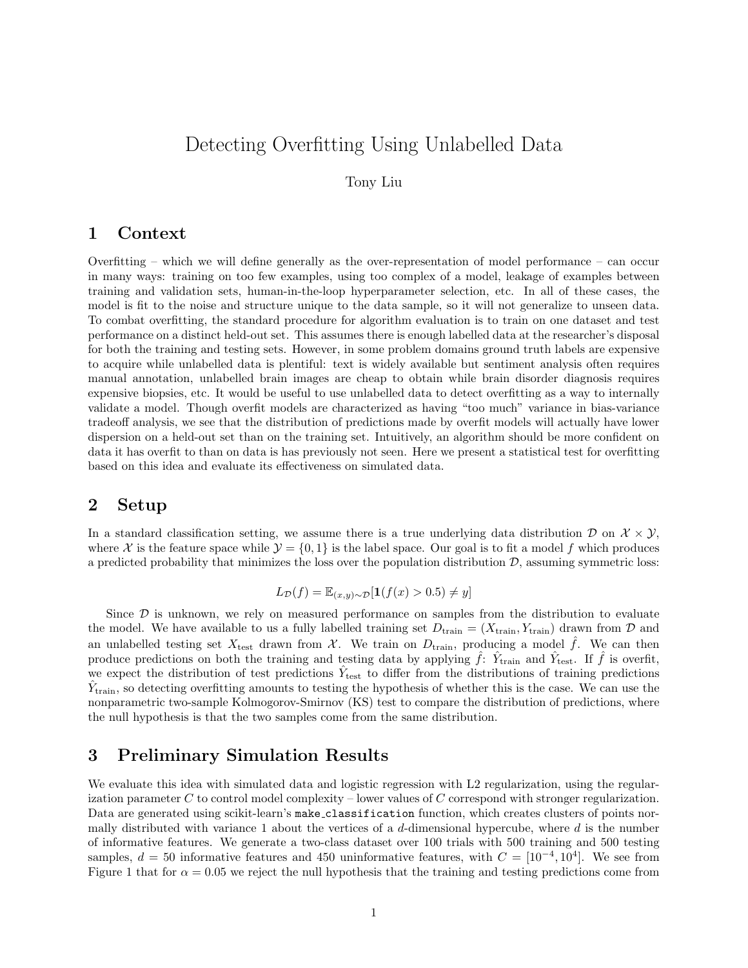# Detecting Overfitting Using Unlabelled Data

Tony Liu

### 1 Context

Overfitting – which we will define generally as the over-representation of model performance – can occur in many ways: training on too few examples, using too complex of a model, leakage of examples between training and validation sets, human-in-the-loop hyperparameter selection, etc. In all of these cases, the model is fit to the noise and structure unique to the data sample, so it will not generalize to unseen data. To combat overfitting, the standard procedure for algorithm evaluation is to train on one dataset and test performance on a distinct held-out set. This assumes there is enough labelled data at the researcher's disposal for both the training and testing sets. However, in some problem domains ground truth labels are expensive to acquire while unlabelled data is plentiful: text is widely available but sentiment analysis often requires manual annotation, unlabelled brain images are cheap to obtain while brain disorder diagnosis requires expensive biopsies, etc. It would be useful to use unlabelled data to detect overfitting as a way to internally validate a model. Though overfit models are characterized as having "too much" variance in bias-variance tradeoff analysis, we see that the distribution of predictions made by overfit models will actually have lower dispersion on a held-out set than on the training set. Intuitively, an algorithm should be more confident on data it has overfit to than on data is has previously not seen. Here we present a statistical test for overfitting based on this idea and evaluate its effectiveness on simulated data.

#### 2 Setup

In a standard classification setting, we assume there is a true underlying data distribution  $\mathcal{D}$  on  $\mathcal{X} \times \mathcal{Y}$ , where X is the feature space while  $\mathcal{Y} = \{0, 1\}$  is the label space. Our goal is to fit a model f which produces a predicted probability that minimizes the loss over the population distribution  $D$ , assuming symmetric loss:

$$
L_{\mathcal{D}}(f) = \mathbb{E}_{(x,y)\sim\mathcal{D}}[\mathbf{1}(f(x) > 0.5) \neq y]
$$

Since  $\mathcal D$  is unknown, we rely on measured performance on samples from the distribution to evaluate the model. We have available to us a fully labelled training set  $D_{\text{train}} = (X_{\text{train}}, Y_{\text{train}})$  drawn from  $D$  and an unlabelled testing set  $X_{\text{test}}$  drawn from X. We train on  $D_{\text{train}}$ , producing a model  $\hat{f}$ . We can then produce predictions on both the training and testing data by applying  $\hat{f}$ :  $\hat{Y}_{\text{train}}$  and  $\hat{Y}_{\text{test}}$ . If  $\hat{f}$  is overfit, we expect the distribution of test predictions  $\hat{Y}_{\text{test}}$  to differ from the distributions of training predictions  $\hat{Y}_{\text{train}}$ , so detecting overfitting amounts to testing the hypothesis of whether this is the case. We can use the nonparametric two-sample Kolmogorov-Smirnov (KS) test to compare the distribution of predictions, where the null hypothesis is that the two samples come from the same distribution.

#### 3 Preliminary Simulation Results

We evaluate this idea with simulated data and logistic regression with L2 regularization, using the regularization parameter C to control model complexity – lower values of C correspond with stronger regularization. Data are generated using scikit-learn's make classification function, which creates clusters of points normally distributed with variance 1 about the vertices of a d-dimensional hypercube, where  $d$  is the number of informative features. We generate a two-class dataset over 100 trials with 500 training and 500 testing samples,  $d = 50$  informative features and 450 uninformative features, with  $C = [10^{-4}, 10^{4}]$ . We see from Figure 1 that for  $\alpha = 0.05$  we reject the null hypothesis that the training and testing predictions come from